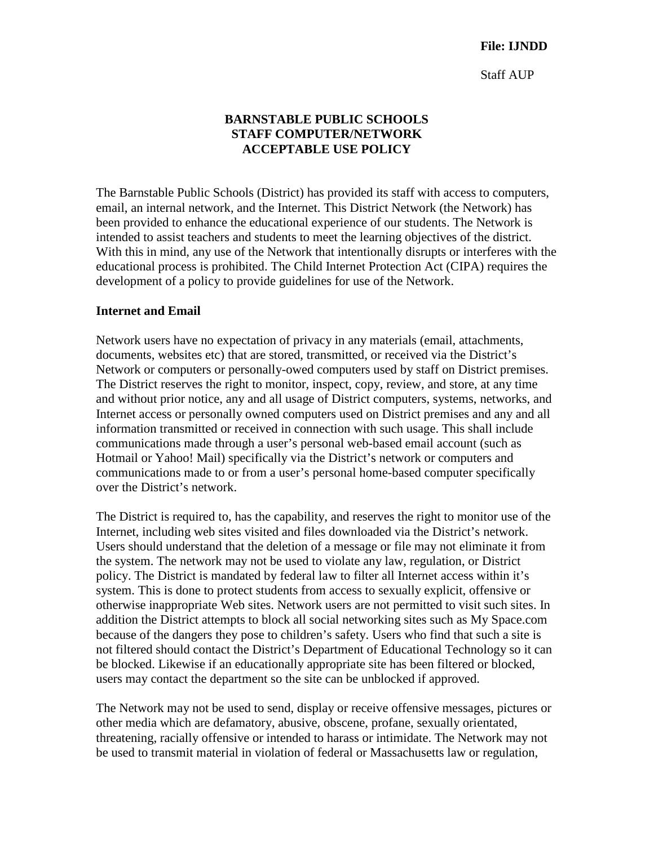Staff AUP

## **BARNSTABLE PUBLIC SCHOOLS STAFF COMPUTER/NETWORK ACCEPTABLE USE POLICY**

The Barnstable Public Schools (District) has provided its staff with access to computers, email, an internal network, and the Internet. This District Network (the Network) has been provided to enhance the educational experience of our students. The Network is intended to assist teachers and students to meet the learning objectives of the district. With this in mind, any use of the Network that intentionally disrupts or interferes with the educational process is prohibited. The Child Internet Protection Act (CIPA) requires the development of a policy to provide guidelines for use of the Network.

#### **Internet and Email**

Network users have no expectation of privacy in any materials (email, attachments, documents, websites etc) that are stored, transmitted, or received via the District's Network or computers or personally-owed computers used by staff on District premises. The District reserves the right to monitor, inspect, copy, review, and store, at any time and without prior notice, any and all usage of District computers, systems, networks, and Internet access or personally owned computers used on District premises and any and all information transmitted or received in connection with such usage. This shall include communications made through a user's personal web-based email account (such as Hotmail or Yahoo! Mail) specifically via the District's network or computers and communications made to or from a user's personal home-based computer specifically over the District's network.

The District is required to, has the capability, and reserves the right to monitor use of the Internet, including web sites visited and files downloaded via the District's network. Users should understand that the deletion of a message or file may not eliminate it from the system. The network may not be used to violate any law, regulation, or District policy. The District is mandated by federal law to filter all Internet access within it's system. This is done to protect students from access to sexually explicit, offensive or otherwise inappropriate Web sites. Network users are not permitted to visit such sites. In addition the District attempts to block all social networking sites such as My Space.com because of the dangers they pose to children's safety. Users who find that such a site is not filtered should contact the District's Department of Educational Technology so it can be blocked. Likewise if an educationally appropriate site has been filtered or blocked, users may contact the department so the site can be unblocked if approved.

The Network may not be used to send, display or receive offensive messages, pictures or other media which are defamatory, abusive, obscene, profane, sexually orientated, threatening, racially offensive or intended to harass or intimidate. The Network may not be used to transmit material in violation of federal or Massachusetts law or regulation,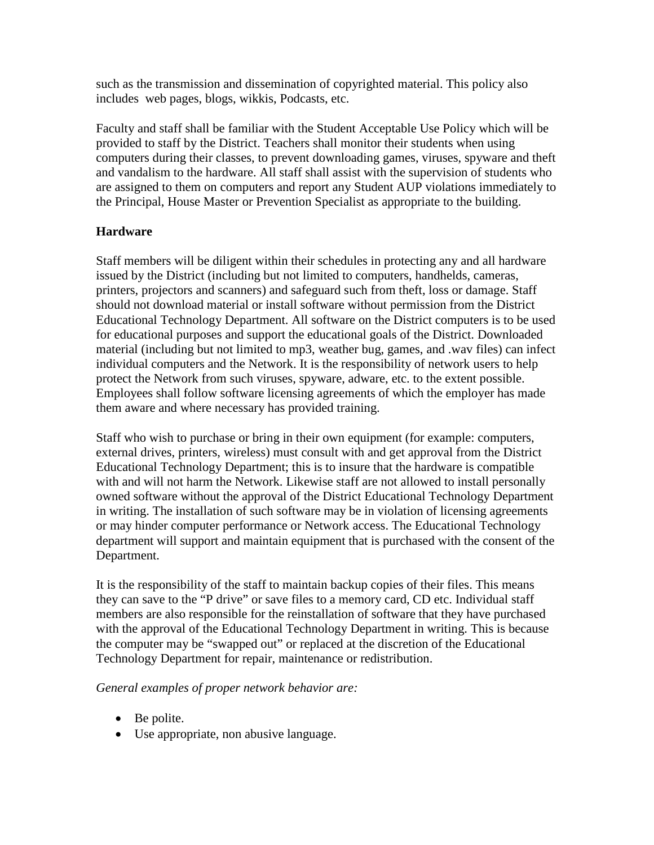such as the transmission and dissemination of copyrighted material. This policy also includes web pages, blogs, wikkis, Podcasts, etc.

Faculty and staff shall be familiar with the Student Acceptable Use Policy which will be provided to staff by the District. Teachers shall monitor their students when using computers during their classes, to prevent downloading games, viruses, spyware and theft and vandalism to the hardware. All staff shall assist with the supervision of students who are assigned to them on computers and report any Student AUP violations immediately to the Principal, House Master or Prevention Specialist as appropriate to the building.

# **Hardware**

Staff members will be diligent within their schedules in protecting any and all hardware issued by the District (including but not limited to computers, handhelds, cameras, printers, projectors and scanners) and safeguard such from theft, loss or damage. Staff should not download material or install software without permission from the District Educational Technology Department. All software on the District computers is to be used for educational purposes and support the educational goals of the District. Downloaded material (including but not limited to mp3, weather bug, games, and .wav files) can infect individual computers and the Network. It is the responsibility of network users to help protect the Network from such viruses, spyware, adware, etc. to the extent possible. Employees shall follow software licensing agreements of which the employer has made them aware and where necessary has provided training.

Staff who wish to purchase or bring in their own equipment (for example: computers, external drives, printers, wireless) must consult with and get approval from the District Educational Technology Department; this is to insure that the hardware is compatible with and will not harm the Network. Likewise staff are not allowed to install personally owned software without the approval of the District Educational Technology Department in writing. The installation of such software may be in violation of licensing agreements or may hinder computer performance or Network access. The Educational Technology department will support and maintain equipment that is purchased with the consent of the Department.

It is the responsibility of the staff to maintain backup copies of their files. This means they can save to the "P drive" or save files to a memory card, CD etc. Individual staff members are also responsible for the reinstallation of software that they have purchased with the approval of the Educational Technology Department in writing. This is because the computer may be "swapped out" or replaced at the discretion of the Educational Technology Department for repair, maintenance or redistribution.

## *General examples of proper network behavior are:*

- Be polite.
- Use appropriate, non abusive language.